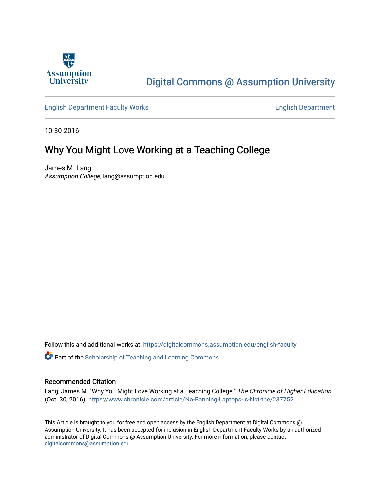

## [Digital Commons @ Assumption University](https://digitalcommons.assumption.edu/)

[English Department Faculty Works](https://digitalcommons.assumption.edu/english-faculty) **English Department** 

10-30-2016

## Why You Might Love Working at a Teaching College

James M. Lang Assumption College, lang@assumption.edu

Follow this and additional works at: [https://digitalcommons.assumption.edu/english-faculty](https://digitalcommons.assumption.edu/english-faculty?utm_source=digitalcommons.assumption.edu%2Fenglish-faculty%2F2&utm_medium=PDF&utm_campaign=PDFCoverPages) 

**P** Part of the Scholarship of Teaching and Learning Commons

## Recommended Citation

Lang, James M. "Why You Might Love Working at a Teaching College." The Chronicle of Higher Education (Oct. 30, 2016). [https://www.chronicle.com/article/No-Banning-Laptops-Is-Not-the/237752](https://www.chronicle.com/article/Why-You-Might-Love-Working-at/238204).

This Article is brought to you for free and open access by the English Department at Digital Commons @ Assumption University. It has been accepted for inclusion in English Department Faculty Works by an authorized administrator of Digital Commons @ Assumption University. For more information, please contact [digitalcommons@assumption.edu](mailto:digitalcommons@assumption.edu).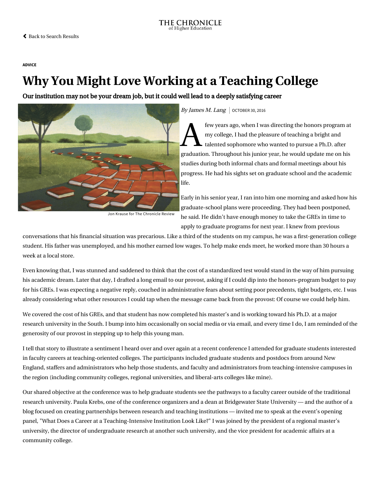[ADVICE](https://www.chronicle.com/section/Advice/66)

## Why You Might Love Working at a Teaching College

Our institution may not be your dream job, but it could well lead to a deeply satisfying career



By James M. Lang  $\vert$  october 30, 2016

 $\sum$ <sup>few yea</sup><br>my coll<br>my talente few years ago, when I was directing the honors program at my college, I had the pleasure of teaching a bright and talented sophomore who wanted to pursue a Ph.D. after graduation. Throughout his junior year, he would update me on his studies during both informal chats and formal meetings about his progress. He had his sights set on graduate school and the academic life.

Jon Krause for The Chronicle Review

Early in his senior year, I ran into him one morning and asked how his graduate-school plans were proceeding. They had been postponed, he said. He didn't have enough money to take the GREs in time to apply to graduate programs for next year. I knew from previous

conversations that his financial situation was precarious. Like a third of the students on my campus, he was a first-generation college student. His father was unemployed, and his mother earned low wages. To help make ends meet, he worked more than 30 hours a week at a local store.

Even knowing that, I was stunned and saddened to think that the cost of a standardized test would stand in the way of him pursuing his academic dream. Later that day, I drafted a long email to our provost, asking if I could dip into the honors-program budget to pay for his GREs. I was expecting a negative reply, couched in administrative fears about setting poor precedents, tight budgets, etc. I was already considering what other resources I could tap when the message came back from the provost: Of course we could help him.

We covered the cost of his GREs, and that student has now completed his master's and is working toward his Ph.D. at a major research university in the South. I bump into him occasionally on social media or via email, and every time I do, I am reminded of the generosity of our provost in stepping up to help this young man.

I tell that story to illustrate a sentiment I heard over and over again [at a recent conference](https://www.umb.edu/news_events_media/events/teaching_at_intensive_institutions) I attended for graduate students interested in faculty careers at teaching-oriented colleges. The participants included graduate students and postdocs from around New England, staffers and administrators who help those students, and faculty and administrators from teaching-intensive campuses in the region (including community colleges, regional universities, and liberal-arts colleges like mine).

Our shared objective at the conference was to help graduate students see the pathways to a faculty career outside of the traditional [research university. Paula Krebs, one of the conference organizers and a dean at Bridgewater State University — and the author of a](https://crosssectorpartnership.wordpress.com/) blog focused on creating partnerships between research and teaching institutions — invited me to speak at the event's opening panel, "What Does a Career at a Teaching-Intensive Institution Look Like?" I was joined by the president of a regional master's university, the director of undergraduate research at another such university, and the vice president for academic affairs at a community college.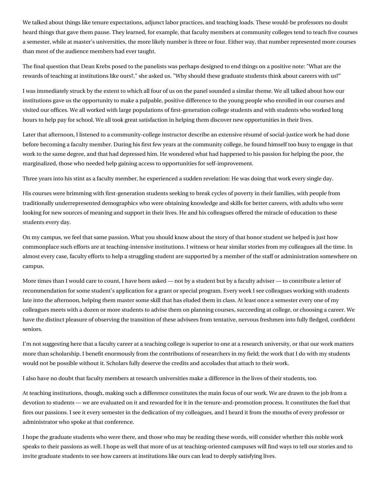We talked about things like tenure expectations, adjunct labor practices, and teaching loads. These would-be professors no doubt heard things that gave them pause. They learned, for example, that faculty members at community colleges tend to teach five courses a semester, while at master's universities, the more likely number is three or four. Either way, that number represented more courses than most of the audience members had ever taught.

The final question that Dean Krebs posed to the panelists was perhaps designed to end things on a positive note: "What are the rewards of teaching at institutions like ours?," she asked us. "Why should these graduate students think about careers with us?"

I was immediately struck by the extent to which all four of us on the panel sounded a similar theme. We all talked about how our institutions gave us the opportunity to make a palpable, positive difference to the young people who enrolled in our courses and visited our offices. We all worked with large populations of first-generation college students and with students who worked long hours to help pay for school. We all took great satisfaction in helping them discover new opportunities in their lives.

Later that afternoon, I listened to a community-college instructor describe an extensive résumé of social-justice work he had done before becoming a faculty member. During his first few years at the community college, he found himself too busy to engage in that work to the same degree, and that had depressed him. He wondered what had happened to his passion for helping the poor, the marginalized, those who needed help gaining access to opportunities for self-improvement.

Three years into his stint as a faculty member, he experienced a sudden revelation: He was doing that work every single day.

His courses were brimming with first-generation students seeking to break cycles of poverty in their families, with people from traditionally underrepresented demographics who were obtaining knowledge and skills for better careers, with adults who were looking for new sources of meaning and support in their lives. He and his colleagues offered the miracle of education to these students every day.

On my campus, we feel that same passion. What you should know about the story of that honor student we helped is just how commonplace such efforts are at teaching-intensive institutions. I witness or hear similar stories from my colleagues all the time. In almost every case, faculty efforts to help a struggling student are supported by a member of the staff or administration somewhere on campus.

More times than I would care to count, I have been asked — not by a student but by a faculty adviser — to contribute a letter of recommendation for some student's application for a grant or special program. Every week I see colleagues working with students late into the afternoon, helping them master some skill that has eluded them in class. At least once a semester every one of my colleagues meets with a dozen or more students to advise them on planning courses, succeeding at college, or choosing a career. We have the distinct pleasure of observing the transition of these advisees from tentative, nervous freshmen into fully fledged, confident seniors.

I'm not suggesting here that a faculty career at a teaching college is superior to one at a research university, or that our work matters more than scholarship. I benefit enormously from the contributions of researchers in my field; the work that I do with my students would not be possible without it. Scholars fully deserve the credits and accolades that attach to their work.

I also have no doubt that faculty members at research universities make a difference in the lives of their students, too.

At teaching institutions, though, making such a difference constitutes the main focus of our work. We are drawn to the job from a devotion to students — we are evaluated on it and rewarded for it in the tenure-and-promotion process. It constitutes the fuel that fires our passions. I see it every semester in the dedication of my colleagues, and I heard it from the mouths of every professor or administrator who spoke at that conference.

I hope the graduate students who were there, and those who may be reading these words, will consider whether this noble work speaks to their passions as well. I hope as well that more of us at teaching-oriented campuses will find ways to tell our stories and to invite graduate students to see how careers at institutions like ours can lead to deeply satisfying lives.